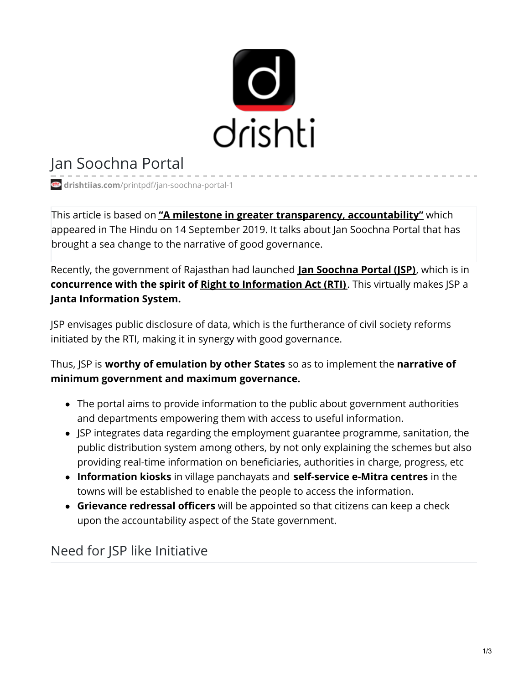

# Jan Soochna Portal

**drishtiias.com**[/printpdf/jan-soochna-portal-1](https://www.drishtiias.com/printpdf/jan-soochna-portal-1)

This article is based on **"A milestone in greater transparency, [accountability"](https://www.thehindu.com/opinion/op-ed/a-milestone-in-greater-transparency-accountability/article29411242.ece)** which appeared in The Hindu on 14 September 2019. It talks about Jan Soochna Portal that has brought a sea change to the narrative of good governance.

Recently, the government of Rajasthan had launched **Jan [Soochna](https://www.drishtiias.com/daily-updates/daily-news-analysis/jan-soochna-portal) Portal (JSP)**, which is in **concurrence with the spirit of Right to [Information](https://www.drishtiias.com/to-the-points/paper4/right-to-information-1) Act (RTI)**. This virtually makes JSP a **Janta Information System.**

JSP envisages public disclosure of data, which is the furtherance of civil society reforms initiated by the RTI, making it in synergy with good governance.

Thus, JSP is **worthy of emulation by other States** so as to implement the **narrative of minimum government and maximum governance.**

- The portal aims to provide information to the public about government authorities and departments empowering them with access to useful information.
- JSP integrates data regarding the employment guarantee programme, sanitation, the public distribution system among others, by not only explaining the schemes but also providing real-time information on beneficiaries, authorities in charge, progress, etc
- **Information kiosks** in village panchayats and **self-service e-Mitra centres** in the towns will be established to enable the people to access the information.
- **Grievance redressal officers** will be appointed so that citizens can keep a check upon the accountability aspect of the State government.

## Need for JSP like Initiative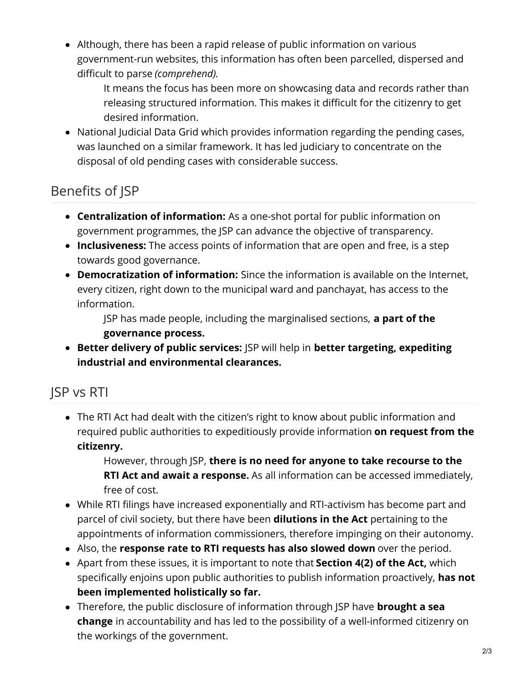Although, there has been a rapid release of public information on various government-run websites, this information has often been parcelled, dispersed and difficult to parse *(comprehend).*

It means the focus has been more on showcasing data and records rather than releasing structured information. This makes it difficult for the citizenry to get desired information.

National Judicial Data Grid which provides information regarding the pending cases, was launched on a similar framework. It has led judiciary to concentrate on the disposal of old pending cases with considerable success.

## Benefits of JSP

- **Centralization of information:** As a one-shot portal for public information on government programmes, the JSP can advance the objective of transparency.
- **Inclusiveness:** The access points of information that are open and free, is a step towards good governance.
- **Democratization of information:** Since the information is available on the Internet, every citizen, right down to the municipal ward and panchayat, has access to the information.

JSP has made people, including the marginalised sections, **a part of the governance process.**

**Better delivery of public services:** JSP will help in **better targeting, expediting industrial and environmental clearances.**

## JSP vs RTI

The RTI Act had dealt with the citizen's right to know about public information and required public authorities to expeditiously provide information **on request from the citizenry.**

However, through JSP, **there is no need for anyone to take recourse to the RTI Act and await a response.** As all information can be accessed immediately, free of cost.

- While RTI filings have increased exponentially and RTI-activism has become part and parcel of civil society, but there have been **dilutions in the Act** pertaining to the appointments of information commissioners, therefore impinging on their autonomy.
- Also, the **response rate to RTI requests has also slowed down** over the period.
- Apart from these issues, it is important to note that **Section 4(2) of the Act,** which specifically enjoins upon public authorities to publish information proactively, **has not been implemented holistically so far.**
- Therefore, the public disclosure of information through JSP have **brought a sea change** in accountability and has led to the possibility of a well-informed citizenry on the workings of the government.